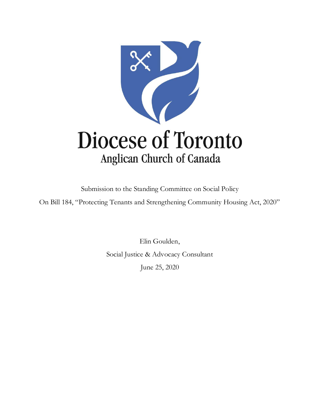

Submission to the Standing Committee on Social Policy

On Bill 184, "Protecting Tenants and Strengthening Community Housing Act, 2020"

Elin Goulden, Social Justice & Advocacy Consultant June 25, 2020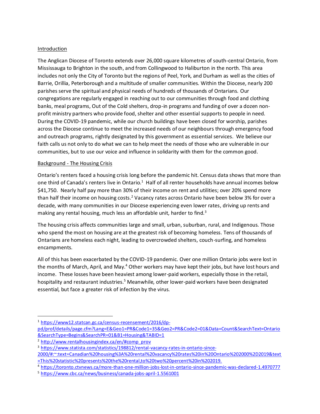## **Introduction**

The Anglican Diocese of Toronto extends over 26,000 square kilometres of south-central Ontario, from Mississauga to Brighton in the south, and from Collingwood to Haliburton in the north. This area includes not only the City of Toronto but the regions of Peel, York, and Durham as well as the cities of Barrie, Orillia, Peterborough and a multitude of smaller communities. Within the Diocese, nearly 200 parishes serve the spiritual and physical needs of hundreds of thousands of Ontarians. Our congregations are regularly engaged in reaching out to our communities through food and clothing banks, meal programs, Out of the Cold shelters, drop-in programs and funding of over a dozen nonprofit ministry partners who provide food, shelter and other essential supports to people in need. During the COVID-19 pandemic, while our church buildings have been closed for worship, parishes across the Diocese continue to meet the increased needs of our neighbours through emergency food and outreach programs, rightly designated by this government as essential services. We believe our faith calls us not only to do what we can to help meet the needs of those who are vulnerable in our communities, but to use our voice and influence in solidarity with them for the common good.

## Background - The Housing Crisis

Ontario's renters faced a housing crisis long before the pandemic hit. Census data shows that more than one third of Canada's renters live in Ontario.<sup>1</sup> Half of all renter households have annual incomes below \$41,750. Nearly half pay more than 30% of their income on rent and utilities; over 20% spend more than half their income on housing costs.<sup>2</sup> Vacancy rates across Ontario have been below 3% for over a decade, with many communities in our Diocese experiencing even lower rates, driving up rents and making any rental housing, much less an affordable unit, harder to find.<sup>3</sup>

The housing crisis affects communities large and small, urban, suburban, rural, and Indigenous. Those who spend the most on housing are at the greatest risk of becoming homeless. Tens of thousands of Ontarians are homeless each night, leading to overcrowded shelters, couch-surfing, and homeless encampments.

All of this has been exacerbated by the COVID-19 pandemic. Over one million Ontario jobs were lost in the months of March, April, and May.<sup>4</sup> Other workers may have kept their jobs, but have lost hours and income. These losses have been heaviest among lower-paid workers, especially those in the retail, hospitality and restaurant industries.<sup>5</sup> Meanwhile, other lower-paid workers have been designated essential, but face a greater risk of infection by the virus.

<sup>1</sup> [https://www12.statcan.gc.ca/census-recensement/2016/dp-](https://www12.statcan.gc.ca/census-recensement/2016/dp-pd/prof/details/page.cfm?Lang=E&Geo1=PR&Code1=35&Geo2=PR&Code2=01&Data=Count&SearchText=Ontario&SearchType=Begins&SearchPR=01&B1=Housing&TABID=1)

[pd/prof/details/page.cfm?Lang=E&Geo1=PR&Code1=35&Geo2=PR&Code2=01&Data=Count&SearchText=Ontario](https://www12.statcan.gc.ca/census-recensement/2016/dp-pd/prof/details/page.cfm?Lang=E&Geo1=PR&Code1=35&Geo2=PR&Code2=01&Data=Count&SearchText=Ontario&SearchType=Begins&SearchPR=01&B1=Housing&TABID=1) [&SearchType=Begins&SearchPR=01&B1=Housing&TABID=1](https://www12.statcan.gc.ca/census-recensement/2016/dp-pd/prof/details/page.cfm?Lang=E&Geo1=PR&Code1=35&Geo2=PR&Code2=01&Data=Count&SearchText=Ontario&SearchType=Begins&SearchPR=01&B1=Housing&TABID=1)

<sup>2</sup> [http://www.rentalhousingindex.ca/en/#comp\\_prov](http://www.rentalhousingindex.ca/en/#comp_prov)

<sup>3</sup> [https://www.statista.com/statistics/198812/rental-vacancy-rates-in-ontario-since-](https://www.statista.com/statistics/198812/rental-vacancy-rates-in-ontario-since-2000/#:~:text=Canadian%20housing%3A%20rental%20vacancy%20rates%20in%20Ontario%202000%2D2019&text=This%20statistic%20presents%20the%20rental,to%20two%20percent%20in%202019.)

[<sup>2000/#:~:</sup>text=Canadian%20housing%3A%20rental%20vacancy%20rates%20in%20Ontario%202000%2D2019&text](https://www.statista.com/statistics/198812/rental-vacancy-rates-in-ontario-since-2000/#:~:text=Canadian%20housing%3A%20rental%20vacancy%20rates%20in%20Ontario%202000%2D2019&text=This%20statistic%20presents%20the%20rental,to%20two%20percent%20in%202019.) [=This%20statistic%20presents%20the%20rental,to%20two%20percent%20in%202019.](https://www.statista.com/statistics/198812/rental-vacancy-rates-in-ontario-since-2000/#:~:text=Canadian%20housing%3A%20rental%20vacancy%20rates%20in%20Ontario%202000%2D2019&text=This%20statistic%20presents%20the%20rental,to%20two%20percent%20in%202019.)

<sup>4</sup> <https://toronto.ctvnews.ca/more-than-one-million-jobs-lost-in-ontario-since-pandemic-was-declared-1.4970777>

<sup>5</sup> <https://www.cbc.ca/news/business/canada-jobs-april-1.5561001>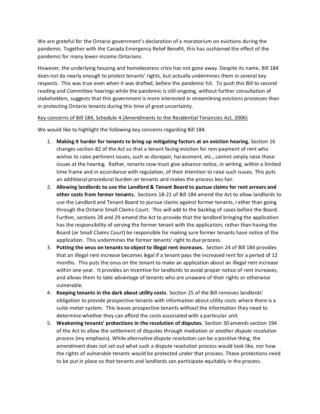We are grateful for the Ontario government's declaration of a moratorium on evictions during the pandemic. Together with the Canada Emergency Relief Benefit, this has cushioned the effect of the pandemic for many lower-income Ontarians.

However, the underlying housing and homelessness crisis has not gone away. Despite its name, Bill 184 does not do nearly enough to protect tenants' rights, but actually undermines them in several key respects. This was true even when it was drafted, before the pandemic hit. To push this Bill to second reading and Committee hearings while the pandemic is still ongoing, without further consultation of stakeholders, suggests that this government is more interested in streamlining evictions processes than in protecting Ontario tenants during this time of great uncertainty.

## Key concerns of Bill 184, Schedule 4 (Amendments to the Residential Tenancies Act, 2006)

We would like to highlight the following key concerns regarding Bill 184.

- 1. **Making it harder for tenants to bring up mitigating factors at an eviction hearing.** Section 16 changes section 82 of the Act so that a tenant facing eviction for non-payment of rent who wishes to raise pertinent issues, such as disrepair, harassment, etc., cannot simply raise these issues at the hearing. Rather, tenants now must give advance notice, in writing, within a limited time frame and in accordance with regulation, of their intention to raise such issues. This puts an additional procedural burden on tenants and makes the process less fair.
- 2. **Allowing landlords to use the Landlord & Tenant Board to pursue claims for rent arrears and other costs from former tenants.** Sections 18-21 of Bill 184 amend the Act to allow landlords to use the Landlord and Tenant Board to pursue claims against former tenants, rather than going through the Ontario Small Claims Court. This will add to the backlog of cases before the Board. Further, sections 28 and 29 amend the Act to provide that the landlord bringing the application has the responsibility of serving the former tenant with the application, rather than having the Board (or Small Claims Court) be responsible for making sure former tenants have notice of the application. This undermines the former tenants' right to due process.
- 3. **Putting the onus on tenants to object to illegal rent increases.** Section 24 of Bill 184 provides that an illegal rent increase becomes legal if a tenant pays the increased rent for a period of 12 months. This puts the onus on the tenant to make an application about an illegal rent increase within one year. It provides an incentive for landlords to avoid proper notice of rent increases, and allows them to take advantage of tenants who are unaware of their rights or otherwise vulnerable.
- 4. **Keeping tenants in the dark about utility costs**. Section 25 of the Bill removes landlords' obligation to provide prospective tenants with information about utility costs where there is a suite-meter system. This leaves prospective tenants without the information they need to determine whether they can afford the costs associated with a particular unit.
- 5. **Weakening tenants' protections in the resolution of disputes.** Section 30 amends section 194 of the Act to allow the settlement of disputes through mediation *or another dispute resolution process* (my emphasis). While alternative dispute resolution can be a positive thing, the amendment does not set out what such a dispute resolution process would look like, nor how the rights of vulnerable tenants would be protected under that process. These protections need to be put in place so that tenants and landlords can participate equitably in the process.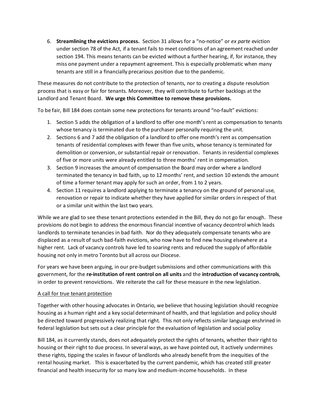6. **Streamlining the evictions process.** Section 31 allows for a "no-notice" or *ex parte* eviction under section 78 of the Act, if a tenant fails to meet conditions of an agreement reached under section 194. This means tenants can be evicted without a further hearing, if, for instance, they miss one payment under a repayment agreement. This is especially problematic when many tenants are still in a financially precarious position due to the pandemic.

These measures do not contribute to the protection of tenants, nor to creating a dispute resolution process that is easy or fair for tenants. Moreover, they will contribute to further backlogs at the Landlord and Tenant Board. **We urge this Committee to remove these provisions.**

To be fair, Bill 184 does contain some new protections for tenants around "no-fault" evictions:

- 1. Section 5 adds the obligation of a landlord to offer one month's rent as compensation to tenants whose tenancy is terminated due to the purchaser personally requiring the unit.
- 2. Sections 6 and 7 add the obligation of a landlord to offer one month's rent as compensation tenants of residential complexes with fewer than five units, whose tenancy is terminated for demolition or conversion, or substantial repair or renovation. Tenants in residential complexes of five or more units were already entitled to three months' rent in compensation.
- 3. Section 9 increases the amount of compensation the Board may order where a landlord terminated the tenancy in bad faith, up to 12 months' rent, and section 10 extends the amount of time a former tenant may apply for such an order, from 1 to 2 years.
- 4. Section 11 requires a landlord applying to terminate a tenancy on the ground of personal use, renovation or repair to indicate whether they have applied for similar orders in respect of that or a similar unit within the last two years.

While we are glad to see these tenant protections extended in the Bill, they do not go far enough. These provisions do not begin to address the enormous financial incentive of vacancy decontrol which leads landlords to terminate tenancies in bad faith. Nor do they adequately compensate tenants who are displaced as a result of such bad-faith evictions, who now have to find new housing elsewhere at a higher rent. Lack of vacancy controls have led to soaring rents and reduced the supply of affordable housing not only in metro Toronto but all across our Diocese.

For years we have been arguing, in our pre-budget submissions and other communications with this government, for the **re-institution of rent control on all units** and the **introduction of vacancy controls**, in order to prevent renovictions. We reiterate the call for these measure in the new legislation.

## A call for true tenant protection

Together with other housing advocates in Ontario, we believe that housing legislation should recognize housing as a human right and a key social determinant of health, and that legislation and policy should be directed toward progressively realizing that right. This not only reflects similar language enshrined in federal legislation but sets out a clear principle for the evaluation of legislation and social policy

Bill 184, as it currently stands, does not adequately protect the rights of tenants, whether their right to housing or their right to due process. In several ways, as we have pointed out, it actively undermines these rights, tipping the scales in favour of landlords who already benefit from the inequities of the rental housing market. This is exacerbated by the current pandemic, which has created still greater financial and health insecurity for so many low and medium-income households. In these